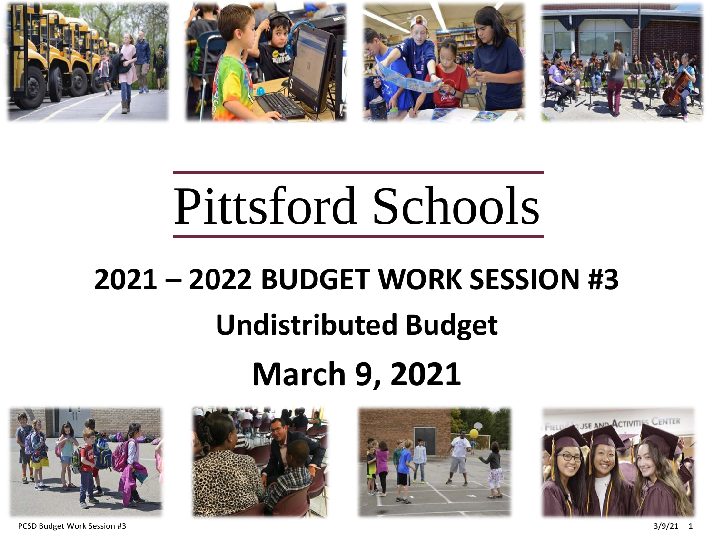

# Pittsford Schools

## **2021 – 2022 BUDGET WORK SESSION #3 Undistributed Budget March 9, 2021**







PCSD Budget Work Session #3 3/9/21 1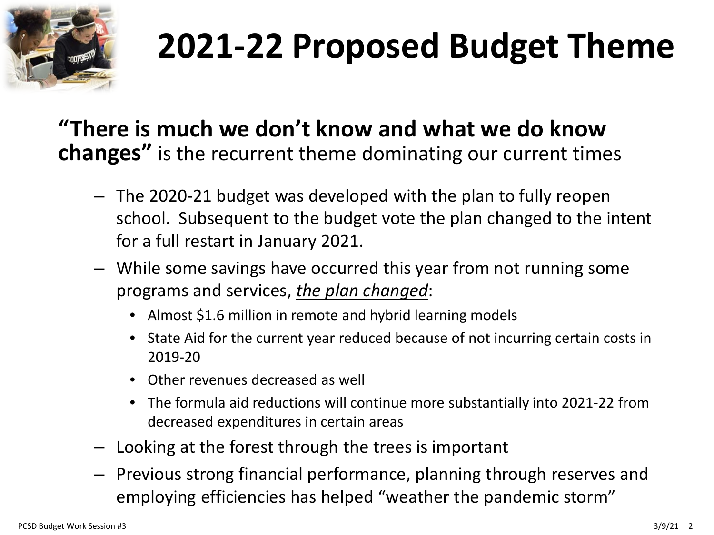

## **2021-22 Proposed Budget Theme**

#### **"There is much we don't know and what we do know changes"** is the recurrent theme dominating our current times

- The 2020-21 budget was developed with the plan to fully reopen school. Subsequent to the budget vote the plan changed to the intent for a full restart in January 2021.
- While some savings have occurred this year from not running some programs and services, *the plan changed*:
	- Almost \$1.6 million in remote and hybrid learning models
	- State Aid for the current year reduced because of not incurring certain costs in 2019-20
	- Other revenues decreased as well
	- The formula aid reductions will continue more substantially into 2021-22 from decreased expenditures in certain areas
- Looking at the forest through the trees is important
- Previous strong financial performance, planning through reserves and employing efficiencies has helped "weather the pandemic storm"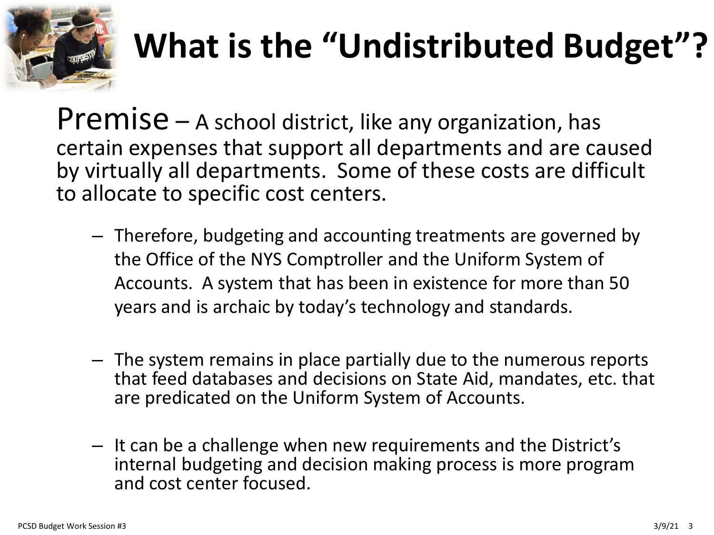

## **What is the "Undistributed Budget"?**

Premise – A school district, like any organization, has certain expenses that support all departments and are caused by virtually all departments. Some of these costs are difficult to allocate to specific cost centers.

- Therefore, budgeting and accounting treatments are governed by the Office of the NYS Comptroller and the Uniform System of Accounts. A system that has been in existence for more than 50 years and is archaic by today's technology and standards.
- The system remains in place partially due to the numerous reports that feed databases and decisions on State Aid, mandates, etc. that are predicated on the Uniform System of Accounts.
- It can be a challenge when new requirements and the District's internal budgeting and decision making process is more program and cost center focused.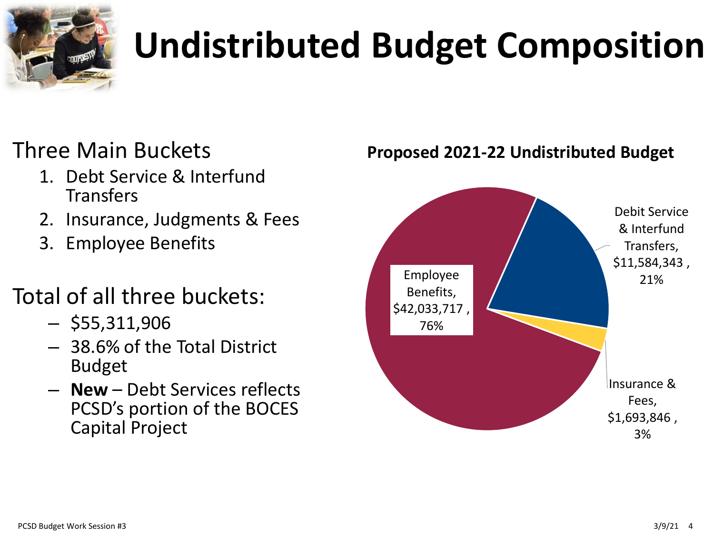

# **Undistributed Budget Composition**

#### Three Main Buckets

- 1. Debt Service & Interfund **Transfers**
- 2. Insurance, Judgments & Fees
- 3. Employee Benefits

### Total of all three buckets:

- $-$  \$55,311,906
- 38.6% of the Total District Budget
- **New** Debt Services reflects PCSD's portion of the BOCES Capital Project



**Proposed 2021-22 Undistributed Budget**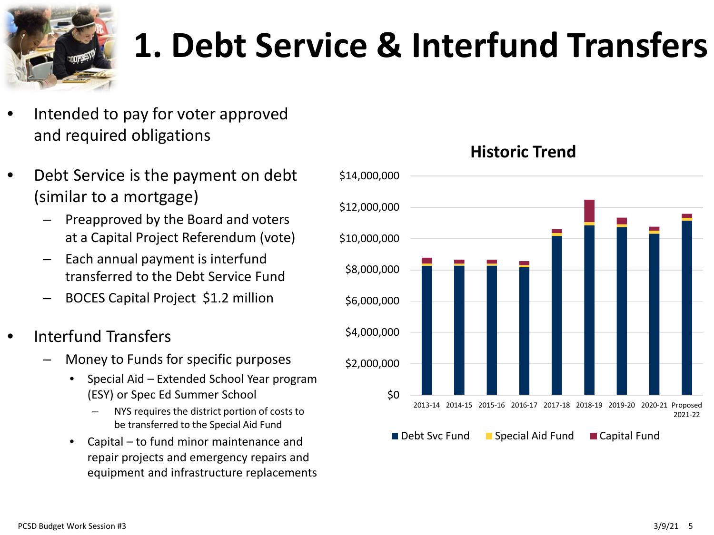

## **1. Debt Service & Interfund Transfers**

- Intended to pay for voter approved and required obligations
- Debt Service is the payment on debt (similar to a mortgage)
	- Preapproved by the Board and voters at a Capital Project Referendum (vote)
	- Each annual payment is interfund transferred to the Debt Service Fund
	- BOCES Capital Project \$1.2 million
- Interfund Transfers
	- Money to Funds for specific purposes
		- Special Aid Extended School Year program (ESY) or Spec Ed Summer School
			- NYS requires the district portion of costs to be transferred to the Special Aid Fund
		- Capital to fund minor maintenance and repair projects and emergency repairs and equipment and infrastructure replacements



#### **Historic Trend**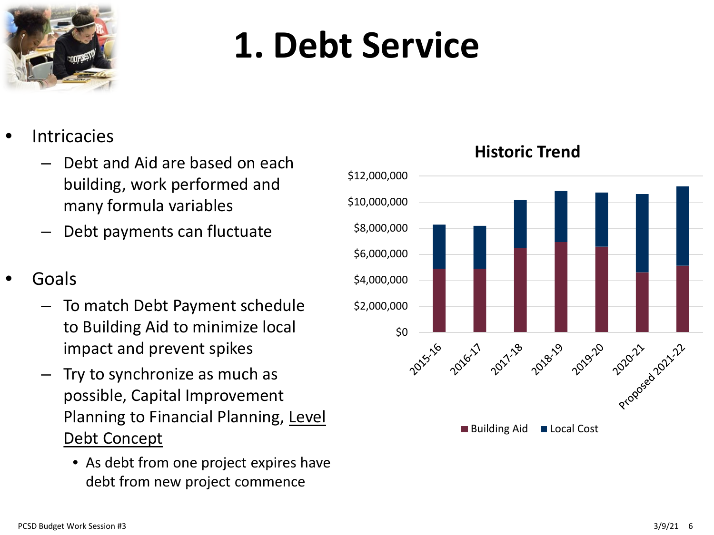

## **1. Debt Service**

- **Intricacies** 
	- Debt and Aid are based on each building, work performed and many formula variables
	- Debt payments can fluctuate
- Goals
	- To match Debt Payment schedule to Building Aid to minimize local impact and prevent spikes
	- Try to synchronize as much as possible, Capital Improvement Planning to Financial Planning, Level Debt Concept
		- As debt from one project expires have debt from new project commence



#### **Historic Trend**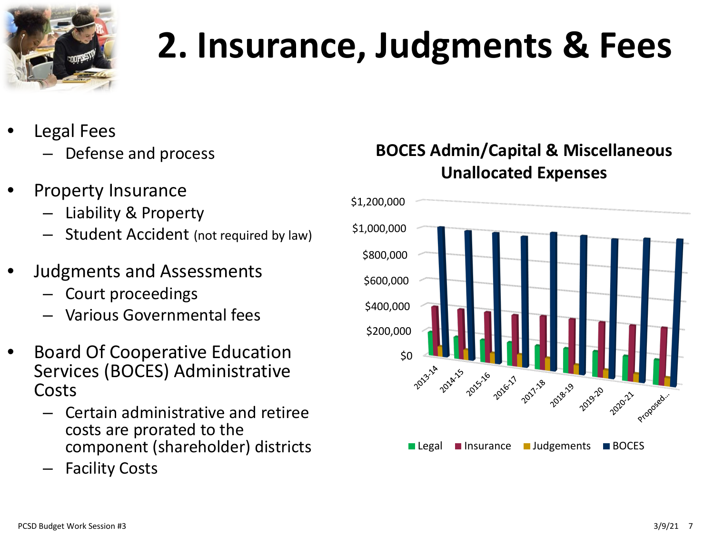

## **2. Insurance, Judgments & Fees**

- Legal Fees
	- Defense and process
- Property Insurance
	- Liability & Property
	- Student Accident (not required by law)
- Judgments and Assessments
	- Court proceedings
	- Various Governmental fees
- Board Of Cooperative Education Services (BOCES) Administrative Costs
	- Certain administrative and retiree costs are prorated to the component (shareholder) districts
	- **Facility Costs**

#### **BOCES Admin/Capital & Miscellaneous Unallocated Expenses**

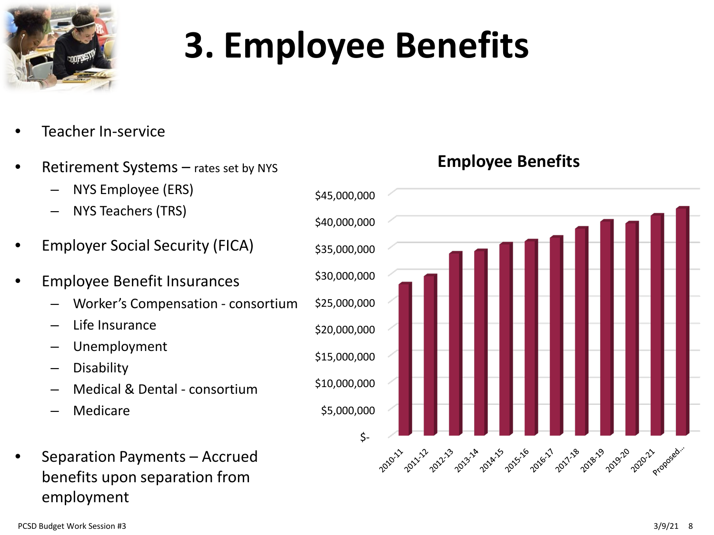

## **3. Employee Benefits**

- Teacher In-service
- Retirement Systems rates set by NYS
	- NYS Employee (ERS)
	- NYS Teachers (TRS)
- Employer Social Security (FICA)
- Employee Benefit Insurances
	- Worker's Compensation consortium
	- Life Insurance
	- Unemployment
	- Disability
	- Medical & Dental consortium
	- Medicare
- Separation Payments Accrued benefits upon separation from employment



#### **Employee Benefits**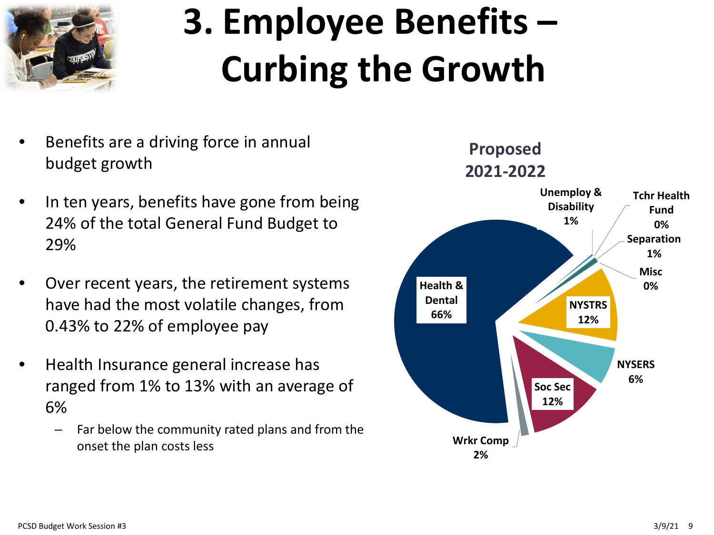

# **3. Employee Benefits – Curbing the Growth**

- Benefits are a driving force in annual budget growth
- In ten years, benefits have gone from being 24% of the total General Fund Budget to 29%
- Over recent years, the retirement systems have had the most volatile changes, from 0.43% to 22% of employee pay
- Health Insurance general increase has ranged from 1% to 13% with an average of 6%
	- Far below the community rated plans and from the onset the plan costs less

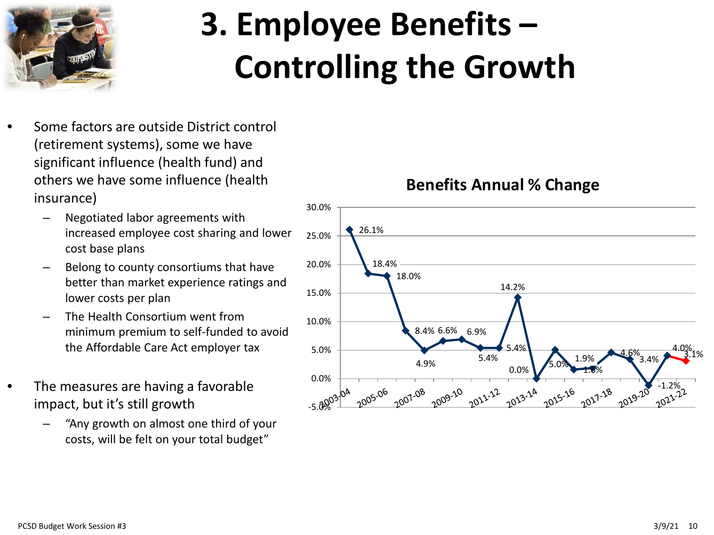

## **3. Employee Benefits – Controlling the Growth**

- Some factors are outside District control (retirement systems), some we have significant influence (health fund) and others we have some influence (health insurance)
	- Negotiated labor agreements with increased employee cost sharing and lower cost base plans
	- Belong to county consortiums that have better than market experience ratings and lower costs per plan
	- The Health Consortium went from minimum premium to self-funded to avoid the Affordable Care Act employer tax
- The measures are having a favorable impact, but it's still growth
	- "Any growth on almost one third of your costs, will be felt on your total budget"

**Benefits Annual % Change**

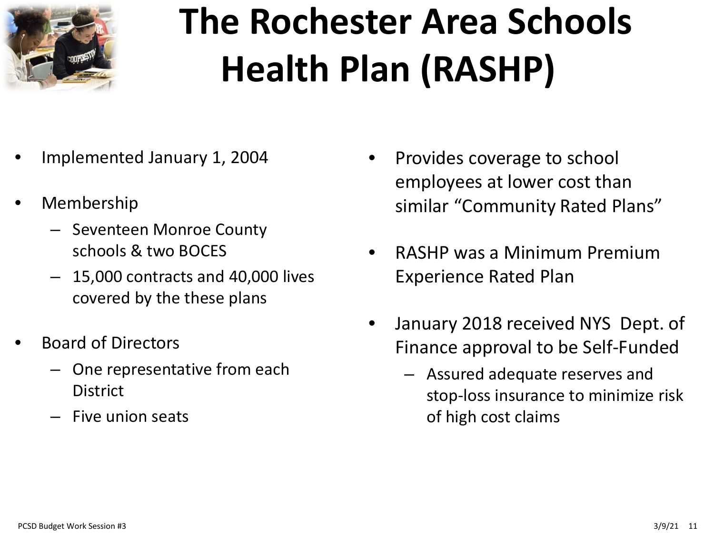

# **The Rochester Area Schools Health Plan (RASHP)**

- Implemented January 1, 2004
- Membership
	- Seventeen Monroe County schools & two BOCES
	- 15,000 contracts and 40,000 lives covered by the these plans
- Board of Directors
	- One representative from each **District**
	- Five union seats
- Provides coverage to school employees at lower cost than similar "Community Rated Plans"
- RASHP was a Minimum Premium Experience Rated Plan
- January 2018 received NYS Dept. of Finance approval to be Self-Funded
	- Assured adequate reserves and stop-loss insurance to minimize risk of high cost claims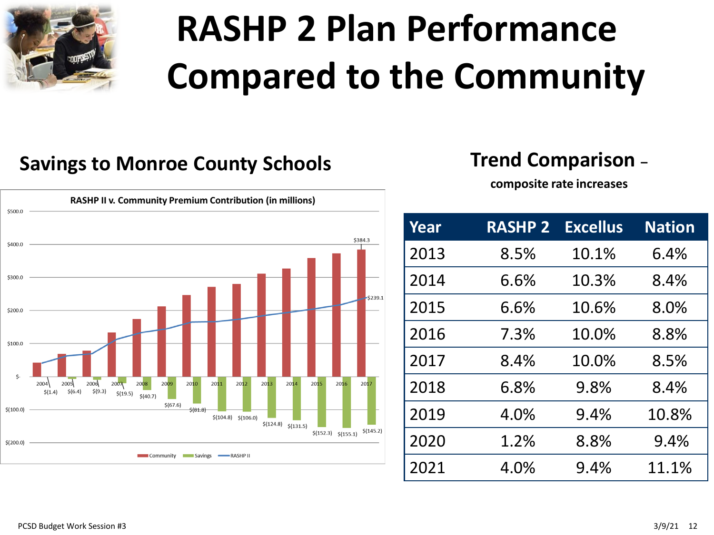

# **RASHP 2 Plan Performance Compared to the Community**

#### **Savings to Monroe County Schools Trend Comparison –**

**composite rate increases**



| <b>Year</b> | <b>RASHP 2</b> | <b>Excellus</b> | <b>Nation</b> |
|-------------|----------------|-----------------|---------------|
| 2013        | 8.5%           | 10.1%           | 6.4%          |
| 2014        | 6.6%           | 10.3%           | 8.4%          |
| 2015        | 6.6%           | 10.6%           | 8.0%          |
| 2016        | 7.3%           | 10.0%           | 8.8%          |
| 2017        | 8.4%           | 10.0%           | 8.5%          |
| 2018        | 6.8%           | 9.8%            | 8.4%          |
| 2019        | 4.0%           | 9.4%            | 10.8%         |
| 2020        | 1.2%           | 8.8%            | 9.4%          |
| 2021        | 4.0%           | 9.4%            | 11.1%         |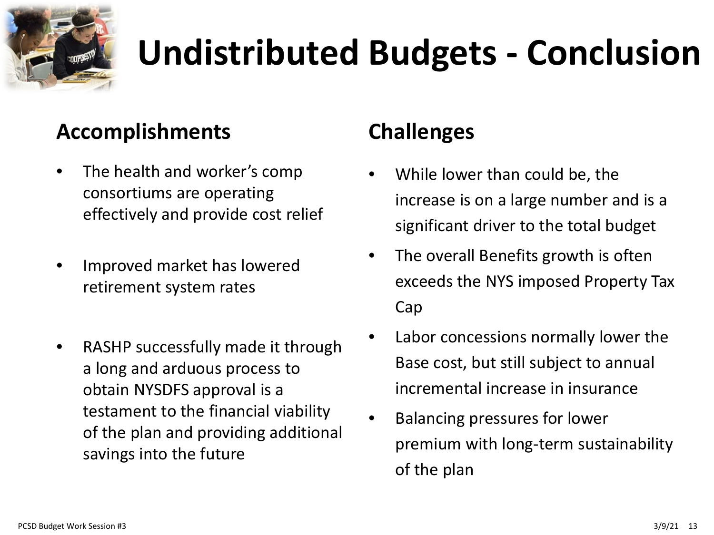

## **Undistributed Budgets - Conclusion**

#### **Accomplishments**

- The health and worker's comp consortiums are operating effectively and provide cost relief
- Improved market has lowered retirement system rates
- RASHP successfully made it through a long and arduous process to obtain NYSDFS approval is a testament to the financial viability of the plan and providing additional savings into the future

#### **Challenges**

- While lower than could be, the increase is on a large number and is a significant driver to the total budget
- The overall Benefits growth is often exceeds the NYS imposed Property Tax Cap
- Labor concessions normally lower the Base cost, but still subject to annual incremental increase in insurance
- Balancing pressures for lower premium with long-term sustainability of the plan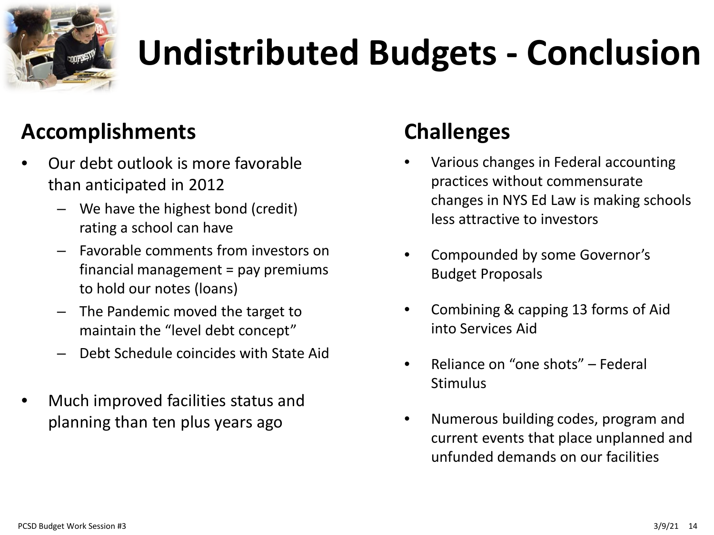

## **Undistributed Budgets - Conclusion**

#### **Accomplishments**

- Our debt outlook is more favorable than anticipated in 2012
	- We have the highest bond (credit) rating a school can have
	- Favorable comments from investors on financial management = pay premiums to hold our notes (loans)
	- The Pandemic moved the target to maintain the "level debt concept"
	- Debt Schedule coincides with State Aid
- Much improved facilities status and planning than ten plus years ago

#### **Challenges**

- Various changes in Federal accounting practices without commensurate changes in NYS Ed Law is making schools less attractive to investors
- Compounded by some Governor's Budget Proposals
- Combining & capping 13 forms of Aid into Services Aid
- Reliance on "one shots" Federal **Stimulus**
- Numerous building codes, program and current events that place unplanned and unfunded demands on our facilities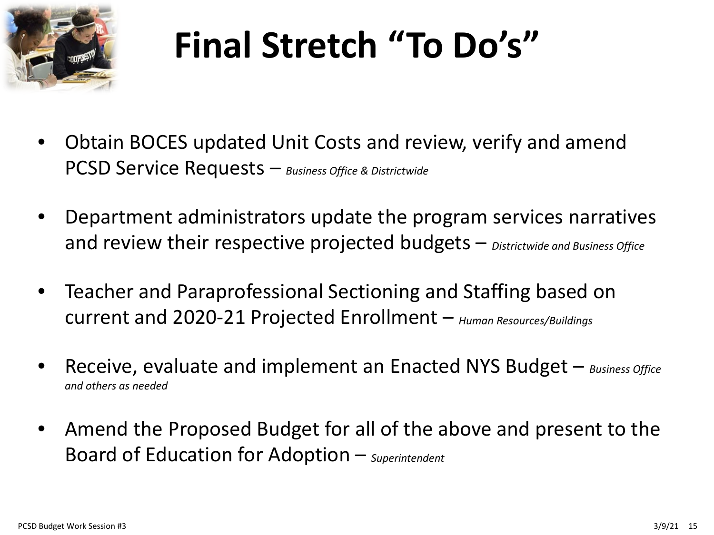

## **Final Stretch "To Do's"**

- Obtain BOCES updated Unit Costs and review, verify and amend PCSD Service Requests – *Business Office & Districtwide*
- Department administrators update the program services narratives and review their respective projected budgets – *Districtwide and Business Office*
- Teacher and Paraprofessional Sectioning and Staffing based on current and 2020-21 Projected Enrollment – *Human Resources/Buildings*
- Receive, evaluate and implement an Enacted NYS Budget *Business Office and others as needed*
- Amend the Proposed Budget for all of the above and present to the Board of Education for Adoption – *Superintendent*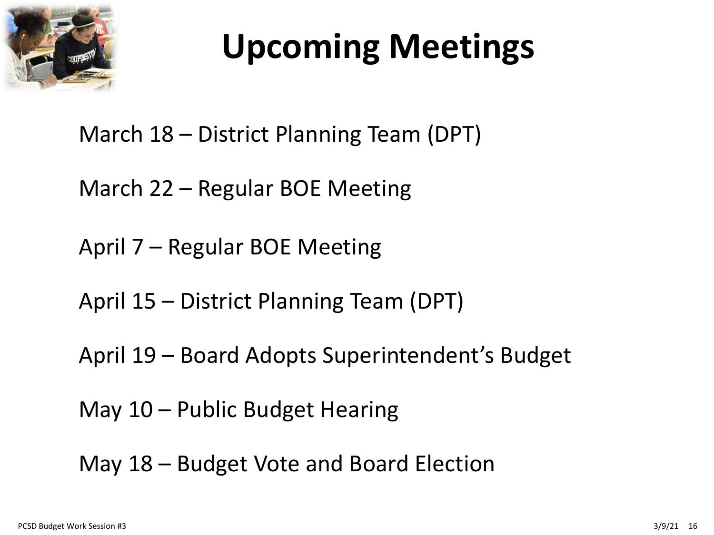

## **Upcoming Meetings**

#### March 18 – District Planning Team (DPT)

March 22 – Regular BOE Meeting

April 7 – Regular BOE Meeting

April 15 – District Planning Team (DPT)

April 19 – Board Adopts Superintendent's Budget

May 10 – Public Budget Hearing

May 18 – Budget Vote and Board Election